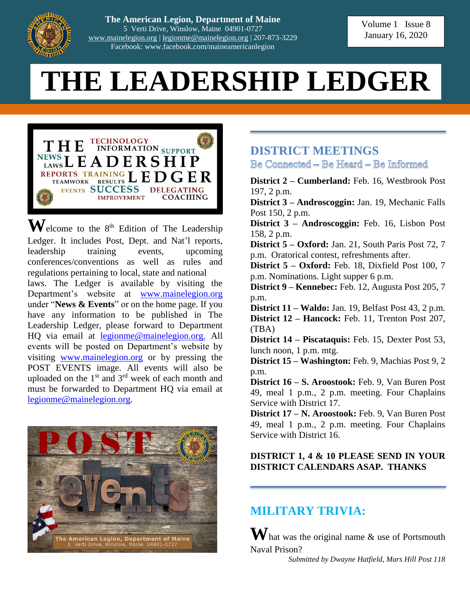

**The American Legion, Department of Maine** 5 Verti Drive, Winslow, Maine 04901-0727 [www.mainelegion.org](http://www.mainelegion.org/) | [legionme@mainelegion.org](mailto:legionme@mainelegion.org) | 207-873-3229 Facebook: www.facebook.com/maineamericanlegion

# **THE LEADERSHIP LEDGER**



 $\mathbf{W}$ elcome to the 8<sup>th</sup> Edition of The Leadership Ledger. It includes Post, Dept. and Nat'l reports, leadership training events, upcoming conferences/conventions as well as rules and regulations pertaining to local, state and national laws. The Ledger is available by visiting the Department's website at [www.mainelegion.org](http://www.mainelegion.org/) under "**News & Events**" or on the home page. If you have any information to be published in The Leadership Ledger, please forward to Department HQ via email at [legionme@mainelegion.org.](mailto:legionme@mainelegion.org) All events will be posted on Department's website by visiting [www.mainelegion.org](http://www.mainelegion.org/) or by pressing the POST EVENTS image. All events will also be uploaded on the  $1<sup>st</sup>$  and  $3<sup>rd</sup>$  week of each month and must be forwarded to Department HQ via email at [legionme@mainelegion.org.](mailto:legionme@mainelegion.org)



#### **DISTRICT MEETINGS** Be Connected – Be Heard – Be Informed

**District 2 – Cumberland:** Feb. 16, Westbrook Post 197, 2 p.m.

**District 3 – Androscoggin:** Jan. 19, Mechanic Falls Post 150, 2 p.m.

**District 3 – Androscoggin:** Feb. 16, Lisbon Post 158, 2 p.m.

**District 5 – Oxford:** Jan. 21, South Paris Post 72, 7 p.m. Oratorical contest, refreshments after.

**District 5 – Oxford:** Feb. 18, Dixfield Post 100, 7 p.m. Nominations. Light supper 6 p.m.

**District 9 – Kennebec:** Feb. 12, Augusta Post 205, 7 p.m.

**District 11 – Waldo:** Jan. 19, Belfast Post 43, 2 p.m. **District 12 – Hancock:** Feb. 11, Trenton Post 207, (TBA)

**District 14 – Piscataquis:** Feb. 15, Dexter Post 53, lunch noon, 1 p.m. mtg.

**District 15 – Washington:** Feb. 9, Machias Post 9, 2 p.m.

**District 16 – S. Aroostook:** Feb. 9, Van Buren Post 49, meal 1 p.m., 2 p.m. meeting. Four Chaplains Service with District 17.

**District 17 – N. Aroostook:** Feb. 9, Van Buren Post 49, meal 1 p.m., 2 p.m. meeting. Four Chaplains Service with District 16.

#### **DISTRICT 1, 4 & 10 PLEASE SEND IN YOUR DISTRICT CALENDARS ASAP. THANKS**

## **MILITARY TRIVIA:**

**W**hat was the original name & use of Portsmouth Naval Prison?

*Submitted by Dwayne Hatfield, Mars Hill Post 118*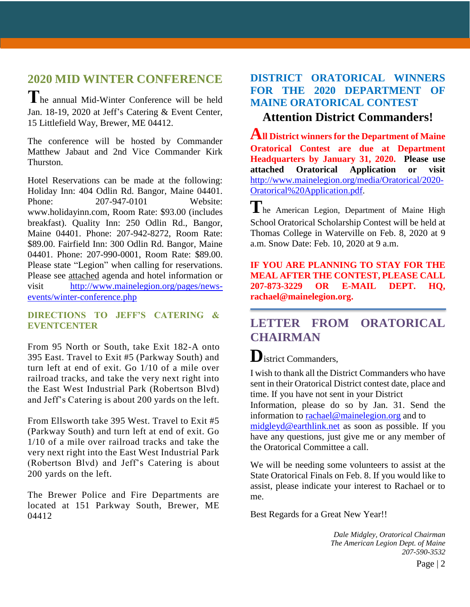# **2020 MID WINTER CONFERENCE**

**T**he annual Mid-Winter Conference will be held Jan. 18-19, 2020 at Jeff's Catering & Event Center, 15 Littlefield Way, Brewer, ME 04412.

The conference will be hosted by Commander Matthew Jabaut and 2nd Vice Commander Kirk Thurston.

Hotel Reservations can be made at the following: Holiday Inn: 404 Odlin Rd. Bangor, Maine 04401. Phone: 207-947-0101 Website: www.holidayinn.com, Room Rate: \$93.00 (includes breakfast). Quality Inn: 250 Odlin Rd., Bangor, Maine 04401. Phone: 207-942-8272, Room Rate: \$89.00. Fairfield Inn: 300 Odlin Rd. Bangor, Maine 04401. Phone: 207-990-0001, Room Rate: \$89.00. Please state "Legion" when calling for reservations. Please see attached agenda and hotel information or visit [http://www.mainelegion.org/pages/news](http://www.mainelegion.org/pages/news-events/winter-conference.php)[events/winter-conference.php](http://www.mainelegion.org/pages/news-events/winter-conference.php)

#### **DIRECTIONS TO JEFF'S CATERING & EVENTCENTER**

From 95 North or South, take Exit 182-A onto 395 East. Travel to Exit #5 (Parkway South) and turn left at end of exit. Go 1/10 of a mile over railroad tracks, and take the very next right into the East West Industrial Park (Robertson Blvd) and Jeff's Catering is about 200 yards on the left.

From Ellsworth take 395 West. Travel to Exit #5 (Parkway South) and turn left at end of exit. Go 1/10 of a mile over railroad tracks and take the very next right into the East West Industrial Park (Robertson Blvd) and Jeff's Catering is about 200 yards on the left.

The Brewer Police and Fire Departments are located at 151 Parkway South, Brewer, ME 04412

#### **DISTRICT ORATORICAL WINNERS FOR THE 2020 DEPARTMENT OF MAINE ORATORICAL CONTEST**

#### **Attention District Commanders!**

**All District winners for the Department of Maine Oratorical Contest are due at Department Headquarters by January 31, 2020. Please use attached Oratorical Application or visit**  [http://www.mainelegion.org/media/Oratorical/2020-](http://www.mainelegion.org/media/Oratorical/2020-Oratorical%20Application.pdf) [Oratorical%20Application.pdf.](http://www.mainelegion.org/media/Oratorical/2020-Oratorical%20Application.pdf)

The American Legion, Department of Maine High School Oratorical Scholarship Contest will be held at Thomas College in Waterville on Feb. 8, 2020 at 9 a.m. Snow Date: Feb. 10, 2020 at 9 a.m.

**IF YOU ARE PLANNING TO STAY FOR THE MEAL AFTER THE CONTEST, PLEASE CALL 207-873-3229 OR E-MAIL DEPT. HQ, rachael@mainelegion.org.**

## **LETTER FROM ORATORICAL CHAIRMAN**

# **D**istrict Commanders,

I wish to thank all the District Commanders who have sent in their Oratorical District contest date, place and time. If you have not sent in your District

Information, please do so by Jan. 31. Send the information to [rachael@mainelegion.org](mailto:rachael@mainelegion.org) and to

[midgleyd@earthlink.net](mailto:midgleyd@earthlink.net) as soon as possible. If you have any questions, just give me or any member of the Oratorical Committee a call.

We will be needing some volunteers to assist at the State Oratorical Finals on Feb. 8. If you would like to assist, please indicate your interest to Rachael or to me.

Best Regards for a Great New Year!!

*Dale Midgley, Oratorical Chairman The American Legion Dept. of Maine 207-590-3532*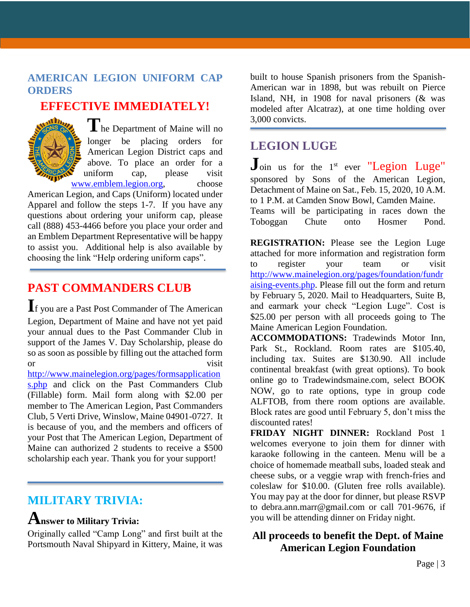#### **AMERICAN LEGION UNIFORM CAP ORDERS**

### **EFFECTIVE IMMEDIATELY!**



**T**he Department of Maine will no longer be placing orders for American Legion District caps and above. To place an order for a uniform cap, please visit [www.emblem.legion.org,](http://www.emblem.legion.org/) choose

American Legion, and Caps (Uniform) located under Apparel and follow the steps 1-7. If you have any questions about ordering your uniform cap, please call (888) 453-4466 before you place your order and an Emblem Department Representative will be happy to assist you. Additional help is also available by choosing the link "Help ordering uniform caps".

## **PAST COMMANDERS CLUB**

**I**f you are a Past Post Commander of The American Legion, Department of Maine and have not yet paid your annual dues to the Past Commander Club in support of the James V. Day Scholarship, please do so as soon as possible by filling out the attached form or visit

[http://www.mainelegion.org/pages/formsapplication](http://www.mainelegion.org/pages/formsapplications.php) [s.php](http://www.mainelegion.org/pages/formsapplications.php) and click on the Past Commanders Club (Fillable) form. Mail form along with \$2.00 per member to The American Legion, Past Commanders Club, 5 Verti Drive, Winslow, Maine 04901-0727. It is because of you, and the members and officers of your Post that The American Legion, Department of Maine can authorized 2 students to receive a \$500 scholarship each year. Thank you for your support!

## **MILITARY TRIVIA:**

#### **Answer to Military Trivia:**

Originally called "Camp Long" and first built at the Portsmouth Naval Shipyard in Kittery, Maine, it was built to house Spanish prisoners from the Spanish-American war in 1898, but was rebuilt on Pierce Island, NH, in 1908 for naval prisoners (& was modeled after Alcatraz), at one time holding over 3,000 convicts.

## **LEGION LUGE**

Join us for the 1<sup>st</sup> ever "Legion Luge" sponsored by Sons of the American Legion, Detachment of Maine on Sat., Feb. 15, 2020, 10 A.M. to 1 P.M. at Camden Snow Bowl, Camden Maine. Teams will be participating in races down the Toboggan Chute onto Hosmer Pond.

**REGISTRATION:** Please see the Legion Luge attached for more information and registration form to register your team or visit [http://www.mainelegion.org/pages/foundation/fundr](http://www.mainelegion.org/pages/foundation/fundraising-events.php) [aising-events.php.](http://www.mainelegion.org/pages/foundation/fundraising-events.php) Please fill out the form and return by February 5, 2020. Mail to Headquarters, Suite B, and earmark your check "Legion Luge". Cost is \$25.00 per person with all proceeds going to The Maine American Legion Foundation.

**ACCOMMODATIONS:** Tradewinds Motor Inn, Park St., Rockland. Room rates are \$105.40, including tax. Suites are \$130.90. All include continental breakfast (with great options). To book online go to Tradewindsmaine.com, select BOOK NOW, go to rate options, type in group code ALFTOB, from there room options are available. Block rates are good until February 5, don't miss the discounted rates!

**FRIDAY NIGHT DINNER:** Rockland Post 1 welcomes everyone to join them for dinner with karaoke following in the canteen. Menu will be a choice of homemade meatball subs, loaded steak and cheese subs, or a veggie wrap with french-fries and coleslaw for \$10.00. (Gluten free rolls available). You may pay at the door for dinner, but please RSVP to debra.ann.marr@gmail.com or call 701-9676, if you will be attending dinner on Friday night.

#### **All proceeds to benefit the Dept. of Maine American Legion Foundation**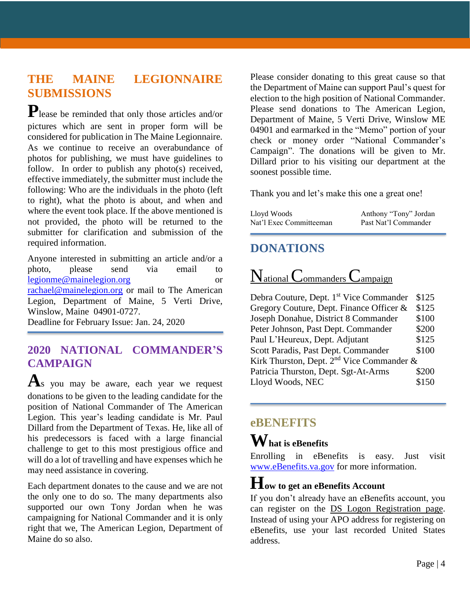## **THE MAINE LEGIONNAIRE SUBMISSIONS**

**P**lease be reminded that only those articles and/or pictures which are sent in proper form will be considered for publication in The Maine Legionnaire. As we continue to receive an overabundance of photos for publishing, we must have guidelines to follow. In order to publish any photo(s) received, effective immediately, the submitter must include the following: Who are the individuals in the photo (left to right), what the photo is about, and when and where the event took place. If the above mentioned is not provided, the photo will be returned to the submitter for clarification and submission of the required information.

Anyone interested in submitting an article and/or a photo, please send via email to [legionme@mainelegion.org](mailto:legionme@mainelegion.org) or [rachael@mainelegion.org](mailto:rachael@mainelegion.org) or mail to The American Legion, Department of Maine, 5 Verti Drive, Winslow, Maine 04901-0727.

Deadline for February Issue: Jan. 24, 2020

#### **2020 NATIONAL COMMANDER'S CAMPAIGN**

**A**s you may be aware, each year we request donations to be given to the leading candidate for the position of National Commander of The American Legion. This year's leading candidate is Mr. Paul Dillard from the Department of Texas. He, like all of his predecessors is faced with a large financial challenge to get to this most prestigious office and will do a lot of travelling and have expenses which he may need assistance in covering.

Each department donates to the cause and we are not the only one to do so. The many departments also supported our own Tony Jordan when he was campaigning for National Commander and it is only right that we, The American Legion, Department of Maine do so also.

Please consider donating to this great cause so that the Department of Maine can support Paul's quest for election to the high position of National Commander. Please send donations to The American Legion, Department of Maine, 5 Verti Drive, Winslow ME 04901 and earmarked in the "Memo" portion of your check or money order "National Commander's Campaign". The donations will be given to Mr. Dillard prior to his visiting our department at the soonest possible time.

Thank you and let's make this one a great one!

| Lloyd Woods             | Anthony "Tony" Jordan |
|-------------------------|-----------------------|
| Nat'l Exec Committeeman | Past Nat'l Commander  |

### **DONATIONS**

# National Commanders Campaign

Debra Couture, Dept. 1<sup>st</sup> Vice Commander \$125 Gregory Couture, Dept. Finance Officer & \$125 Joseph Donahue, District 8 Commander \$100 Peter Johnson, Past Dept. Commander \$200 Paul L'Heureux, Dept. Adjutant \$125 Scott Paradis, Past Dept. Commander \$100 Kirk Thurston, Dept.  $2^{nd}$  Vice Commander & Patricia Thurston, Dept. Sgt-At-Arms \$200 Lloyd Woods, NEC \$150

#### **eBENEFITS**

## **What is eBenefits**

Enrolling in eBenefits is easy. Just visit [www.eBenefits.va.gov](http://www.ebenefits.va.gov/) for more information.

## **How to get an eBenefits Account**

If you don't already have an eBenefits account, you can register on the DS Logon Registration page. Instead of using your APO address for registering on eBenefits, use your last recorded United States address.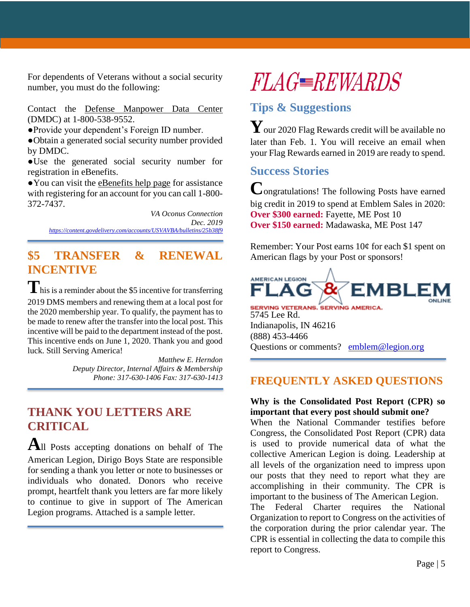For dependents of Veterans without a social security number, you must do the following:

Contact the Defense Manpower Data Center (DMDC) at 1-800-538-9552.

●Provide your dependent's Foreign ID number.

●Obtain a generated social security number provided by DMDC.

●Use the generated social security number for registration in eBenefits.

●You can visit the eBenefits help page for assistance with registering for an account for you can call 1-800- 372-7437.

*VA Oconus Connection Dec. 2019 <https://content.govdelivery.com/accounts/USVAVBA/bulletins/25b38f9>*

## **\$5 TRANSFER & RENEWAL INCENTIVE**

**T** his is a reminder about the \$5 incentive for transferring 2019 DMS members and renewing them at a local post for the 2020 membership year. To qualify, the payment has to be made to renew after the transfer into the local post. This incentive will be paid to the department instead of the post. This incentive ends on June 1, 2020. Thank you and good luck. Still Serving America!

> *Matthew E. Herndon Deputy Director, Internal Affairs & Membership Phone: 317-630-1406 Fax: 317-630-1413*

## **THANK YOU LETTERS ARE CRITICAL**

**A**ll Posts accepting donations on behalf of The American Legion, Dirigo Boys State are responsible for sending a thank you letter or note to businesses or individuals who donated. Donors who receive prompt, heartfelt thank you letters are far more likely to continue to give in support of The American Legion programs. Attached is a sample letter.

# **FLAG REWARDS**

## **Tips & Suggestions**

**Y**our 2020 Flag Rewards credit will be available no later than Feb. 1. You will receive an email when your Flag Rewards earned in 2019 are ready to spend.

#### **Success Stories**

**C**ongratulations! The following Posts have earned big credit in 2019 to spend at Emblem Sales in 2020: **Over \$300 earned:** Fayette, ME Post 10 **Over \$150 earned:** Madawaska, ME Post 147

Remember: Your Post earns 10¢ for each \$1 spent on American flags by your Post or sponsors!



SERVING VETERANS. SERVING AMERICA. 5745 Lee Rd. Indianapolis, IN 46216 (888) 453-4466 Questions or comments? [emblem@legion.org](mailto:emblem@legion.org)

#### **FREQUENTLY ASKED QUESTIONS**

#### **Why is the Consolidated Post Report (CPR) so important that every post should submit one?**

When the National Commander testifies before Congress, the Consolidated Post Report (CPR) data is used to provide numerical data of what the collective American Legion is doing. Leadership at all levels of the organization need to impress upon our posts that they need to report what they are accomplishing in their community. The CPR is important to the business of The American Legion.

The Federal Charter requires the National Organization to report to Congress on the activities of the corporation during the prior calendar year. The CPR is essential in collecting the data to compile this report to Congress.